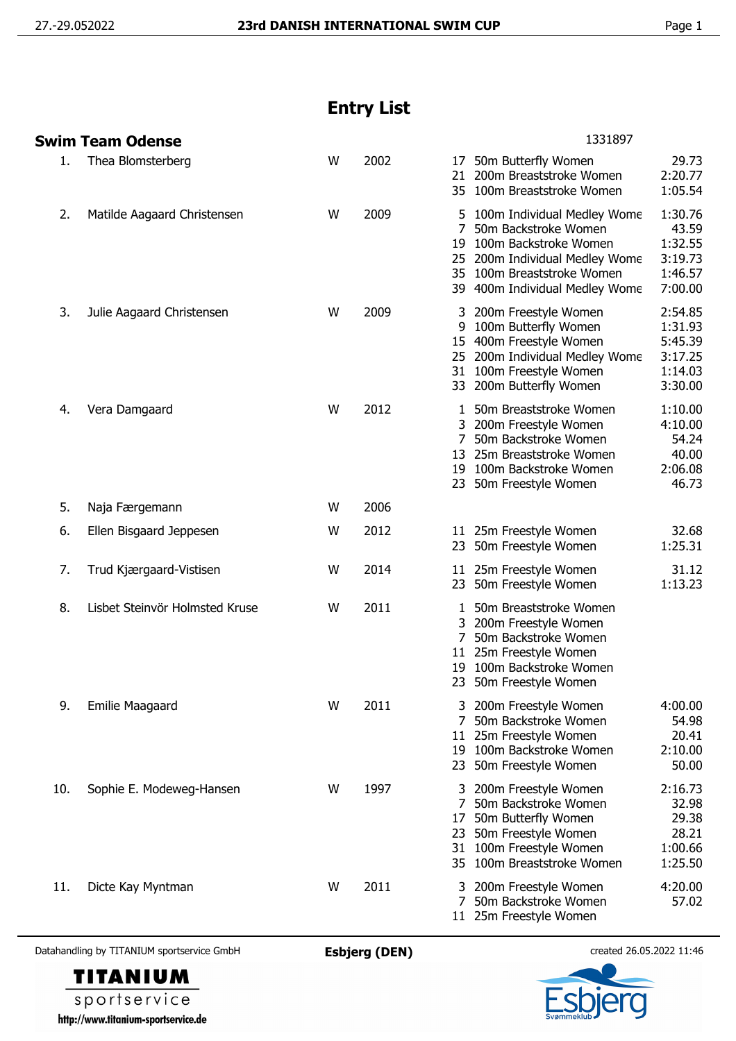## **Entry List**

|     | Swim Team Odense               |   |      | 1331897                                                                                                                                                                                                                                                     |
|-----|--------------------------------|---|------|-------------------------------------------------------------------------------------------------------------------------------------------------------------------------------------------------------------------------------------------------------------|
| 1.  | Thea Blomsterberg              | W | 2002 | 29.73<br>50m Butterfly Women<br>17<br>200m Breaststroke Women<br>2:20.77<br>21<br>35 100m Breaststroke Women<br>1:05.54                                                                                                                                     |
| 2.  | Matilde Aagaard Christensen    | W | 2009 | 1:30.76<br>5 100m Individual Medley Wome<br>7<br>50m Backstroke Women<br>43.59<br>1:32.55<br>100m Backstroke Women<br>19<br>3:19.73<br>25 200m Individual Medley Wome<br>1:46.57<br>35 100m Breaststroke Women<br>7:00.00<br>39 400m Individual Medley Wome |
| 3.  | Julie Aagaard Christensen      | W | 2009 | 2:54.85<br>200m Freestyle Women<br>100m Butterfly Women<br>1:31.93<br>9<br>5:45.39<br>15 400m Freestyle Women<br>25 200m Individual Medley Wome<br>3:17.25<br>31 100m Freestyle Women<br>1:14.03<br>3:30.00<br>33 200m Butterfly Women                      |
| 4.  | Vera Damgaard                  | W | 2012 | 50m Breaststroke Women<br>1:10.00<br>1<br>4:10.00<br>3 200m Freestyle Women<br>50m Backstroke Women<br>54.24<br>40.00<br>13 25m Breaststroke Women<br>2:06.08<br>19 100m Backstroke Women<br>46.73<br>23 50m Freestyle Women                                |
| 5.  | Naja Færgemann                 | W | 2006 |                                                                                                                                                                                                                                                             |
| 6.  | Ellen Bisgaard Jeppesen        | W | 2012 | 11 25m Freestyle Women<br>32.68<br>1:25.31<br>50m Freestyle Women<br>23                                                                                                                                                                                     |
| 7.  | Trud Kjærgaard-Vistisen        | W | 2014 | 31.12<br>11 25m Freestyle Women<br>1:13.23<br>23 50m Freestyle Women                                                                                                                                                                                        |
| 8.  | Lisbet Steinvör Holmsted Kruse | W | 2011 | 50m Breaststroke Women<br>1<br>3 200m Freestyle Women<br>50m Backstroke Women<br>11 25m Freestyle Women<br>100m Backstroke Women<br>19<br>23<br>50m Freestyle Women                                                                                         |
| 9.  | <b>Emilie Maagaard</b>         | W | 2011 | 4:00.00<br>200m Freestyle Women<br>50m Backstroke Women<br>54.98<br>7<br>25m Freestyle Women<br>20.41<br>11<br>2:10.00<br>100m Backstroke Women<br>19<br>50m Freestyle Women<br>50.00<br>23                                                                 |
| 10. | Sophie E. Modeweg-Hansen       | W | 1997 | 2:16.73<br>200m Freestyle Women<br>50m Backstroke Women<br>32.98<br>29.38<br>50m Butterfly Women<br>17<br>28.21<br>50m Freestyle Women<br>23<br>100m Freestyle Women<br>1:00.66<br>31<br>100m Breaststroke Women<br>1:25.50<br>35.                          |
| 11. | Dicte Kay Myntman              | W | 2011 | 4:20.00<br>200m Freestyle Women<br>3<br>50m Backstroke Women<br>57.02<br>7<br>11 25m Freestyle Women                                                                                                                                                        |

Datahandling by TITANIUM sportservice GmbH **Esbjerg (DEN)** created 26.05.2022 11:46



sportservice http://www.titanium-sportservice.de

**TITANIUM**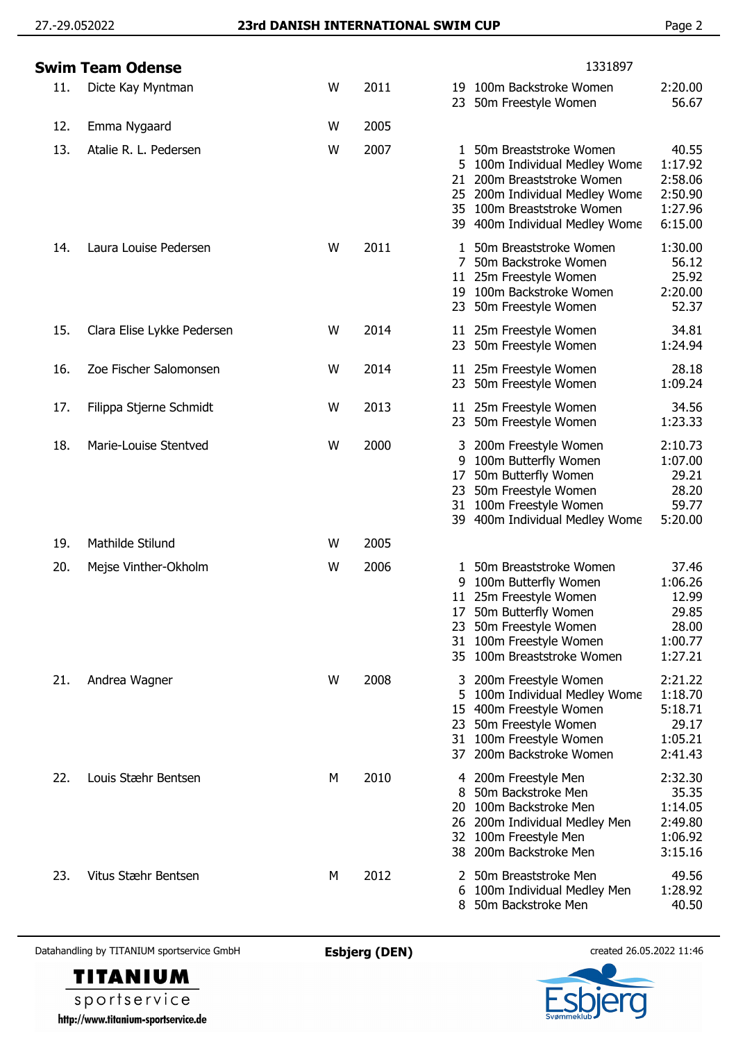## 27.-29.052022 **23rd DANISH INTERNATIONAL SWIM CUP** Page 2

|     | Swim Team Odense           |   |      |                    | 1331897                                                                                                                                                                              |                                                                   |
|-----|----------------------------|---|------|--------------------|--------------------------------------------------------------------------------------------------------------------------------------------------------------------------------------|-------------------------------------------------------------------|
| 11. | Dicte Kay Myntman          | W | 2011 |                    | 19 100m Backstroke Women<br>23 50m Freestyle Women                                                                                                                                   | 2:20.00<br>56.67                                                  |
| 12. | Emma Nygaard               | W | 2005 |                    |                                                                                                                                                                                      |                                                                   |
| 13. | Atalie R. L. Pedersen      | W | 2007 | 1<br>21            | 50m Breaststroke Women<br>5 100m Individual Medley Wome<br>200m Breaststroke Women<br>25 200m Individual Medley Wome<br>35 100m Breaststroke Women<br>39 400m Individual Medley Wome | 40.55<br>1:17.92<br>2:58.06<br>2:50.90<br>1:27.96<br>6:15.00      |
| 14. | Laura Louise Pedersen      | W | 2011 |                    | 50m Breaststroke Women<br>7 50m Backstroke Women<br>11 25m Freestyle Women<br>19 100m Backstroke Women<br>23 50m Freestyle Women                                                     | 1:30.00<br>56.12<br>25.92<br>2:20.00<br>52.37                     |
| 15. | Clara Elise Lykke Pedersen | W | 2014 |                    | 11 25m Freestyle Women<br>23 50m Freestyle Women                                                                                                                                     | 34.81<br>1:24.94                                                  |
| 16. | Zoe Fischer Salomonsen     | W | 2014 |                    | 11 25m Freestyle Women<br>23 50m Freestyle Women                                                                                                                                     | 28.18<br>1:09.24                                                  |
| 17. | Filippa Stjerne Schmidt    | W | 2013 |                    | 11 25m Freestyle Women<br>23 50m Freestyle Women                                                                                                                                     | 34.56<br>1:23.33                                                  |
| 18. | Marie-Louise Stentved      | W | 2000 | 3<br>9<br>17<br>23 | 200m Freestyle Women<br>100m Butterfly Women<br>50m Butterfly Women<br>50m Freestyle Women<br>31 100m Freestyle Women<br>39 400m Individual Medley Wome                              | 2:10.73<br>1:07.00<br>29.21<br>28.20<br>59.77<br>5:20.00          |
| 19. | Mathilde Stilund           | W | 2005 |                    |                                                                                                                                                                                      |                                                                   |
| 20. | Mejse Vinther-Okholm       | W | 2006 | 23<br>31           | 1 50m Breaststroke Women<br>9 100m Butterfly Women<br>11 25m Freestyle Women<br>17 50m Butterfly Women<br>50m Freestyle Women<br>100m Freestyle Women<br>35 100m Breaststroke Women  | 37.46<br>1:06.26<br>12.99<br>29.85<br>28.00<br>1:00.77<br>1:27.21 |
| 21. | Andrea Wagner              | W | 2008 | 15<br>23<br>37     | 200m Freestyle Women<br>5 100m Individual Medley Wome<br>400m Freestyle Women<br>50m Freestyle Women<br>31 100m Freestyle Women<br>200m Backstroke Women                             | 2:21.22<br>1:18.70<br>5:18.71<br>29.17<br>1:05.21<br>2:41.43      |
| 22. | Louis Stæhr Bentsen        | M | 2010 | 8<br>20.<br>26     | 4 200m Freestyle Men<br>50m Backstroke Men<br>100m Backstroke Men<br>200m Individual Medley Men<br>32 100m Freestyle Men<br>38 200m Backstroke Men                                   | 2:32.30<br>35.35<br>1:14.05<br>2:49.80<br>1:06.92<br>3:15.16      |
| 23. | Vitus Stæhr Bentsen        | М | 2012 | 2<br>6.            | 50m Breaststroke Men<br>100m Individual Medley Men<br>8 50m Backstroke Men                                                                                                           | 49.56<br>1:28.92<br>40.50                                         |

Datahandling by TITANIUM sportservice GmbH **Esbjerg (DEN)** created 26.05.2022 11:46



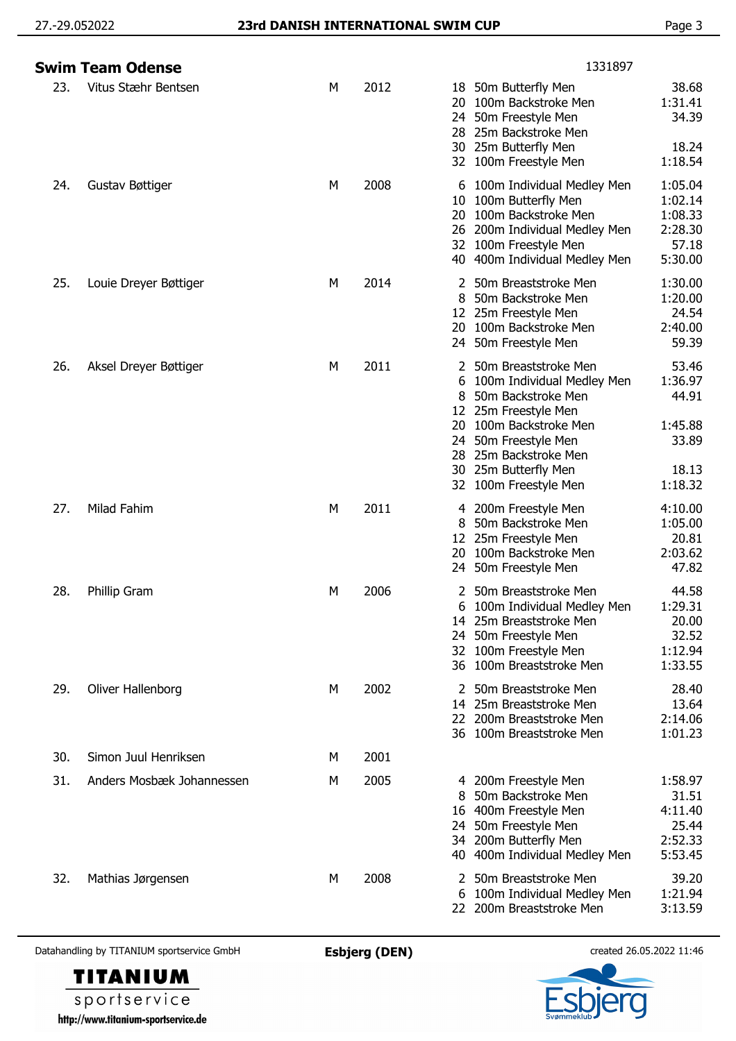|     | <b>Swim Team Odense</b>   |   |      | 1331897                                                                                                                                                                                                                                                      |
|-----|---------------------------|---|------|--------------------------------------------------------------------------------------------------------------------------------------------------------------------------------------------------------------------------------------------------------------|
| 23. | Vitus Stæhr Bentsen       | М | 2012 | 38.68<br>18 50m Butterfly Men<br>100m Backstroke Men<br>1:31.41<br>20<br>34.39<br>50m Freestyle Men<br>24<br>25m Backstroke Men<br>28.<br>18.24<br>30<br>25m Butterfly Men<br>1:18.54<br>32 100m Freestyle Men                                               |
| 24. | Gustav Bøttiger           | М | 2008 | 1:05.04<br>100m Individual Medley Men<br>6<br>100m Butterfly Men<br>1:02.14<br>10<br>1:08.33<br>100m Backstroke Men<br>20<br>2:28.30<br>200m Individual Medley Men<br>26<br>100m Freestyle Men<br>57.18<br>32<br>5:30.00<br>40<br>400m Individual Medley Men |
| 25. | Louie Dreyer Bøttiger     | М | 2014 | 50m Breaststroke Men<br>1:30.00<br>2<br>50m Backstroke Men<br>1:20.00<br>8<br>24.54<br>12 25m Freestyle Men<br>100m Backstroke Men<br>2:40.00<br>20.<br>59.39<br>24 50m Freestyle Men                                                                        |
| 26. | Aksel Dreyer Bøttiger     | М | 2011 | 2 50m Breaststroke Men<br>53.46<br>1:36.97<br>100m Individual Medley Men<br>6<br>44.91<br>50m Backstroke Men<br>8<br>25m Freestyle Men<br>12                                                                                                                 |
|     |                           |   |      | 100m Backstroke Men<br>1:45.88<br>20.<br>24 50m Freestyle Men<br>33.89<br>25m Backstroke Men<br>28<br>30 25m Butterfly Men<br>18.13<br>1:18.32<br>100m Freestyle Men<br>32                                                                                   |
| 27. | Milad Fahim               | М | 2011 | 4:10.00<br>200m Freestyle Men<br>4<br>50m Backstroke Men<br>1:05.00<br>8<br>12 25m Freestyle Men<br>20.81<br>2:03.62<br>100m Backstroke Men<br>20<br>47.82<br>24 50m Freestyle Men                                                                           |
| 28. | Phillip Gram              | м | 2006 | 2 50m Breaststroke Men<br>44.58<br>6 100m Individual Medley Men<br>1:29.31<br>20.00<br>25m Breaststroke Men<br>14<br>32.52<br>24 50m Freestyle Men<br>1:12.94<br>32 100m Freestyle Men<br>1:33.55<br>36 100m Breaststroke Men                                |
| 29. | Oliver Hallenborg         | М | 2002 | 28.40<br>2 50m Breaststroke Men<br>13.64<br>14 25m Breaststroke Men<br>22 200m Breaststroke Men<br>2:14.06<br>1:01.23<br>36 100m Breaststroke Men                                                                                                            |
| 30. | Simon Juul Henriksen      | М | 2001 |                                                                                                                                                                                                                                                              |
| 31. | Anders Mosbæk Johannessen | M | 2005 | 1:58.97<br>4 200m Freestyle Men<br>50m Backstroke Men<br>31.51<br>8<br>16 400m Freestyle Men<br>4:11.40<br>25.44<br>24 50m Freestyle Men<br>34 200m Butterfly Men<br>2:52.33<br>5:53.45<br>40 400m Individual Medley Men                                     |
| 32. | Mathias Jørgensen         | М | 2008 | 39.20<br>50m Breaststroke Men<br>2<br>1:21.94<br>6 100m Individual Medley Men<br>22 200m Breaststroke Men<br>3:13.59                                                                                                                                         |

Datahandling by TITANIUM sportservice GmbH **Esbjerg (DEN)** created 26.05.2022 11:46

**TITANIUM** sportservice

http://www.titanium-sportservice.de

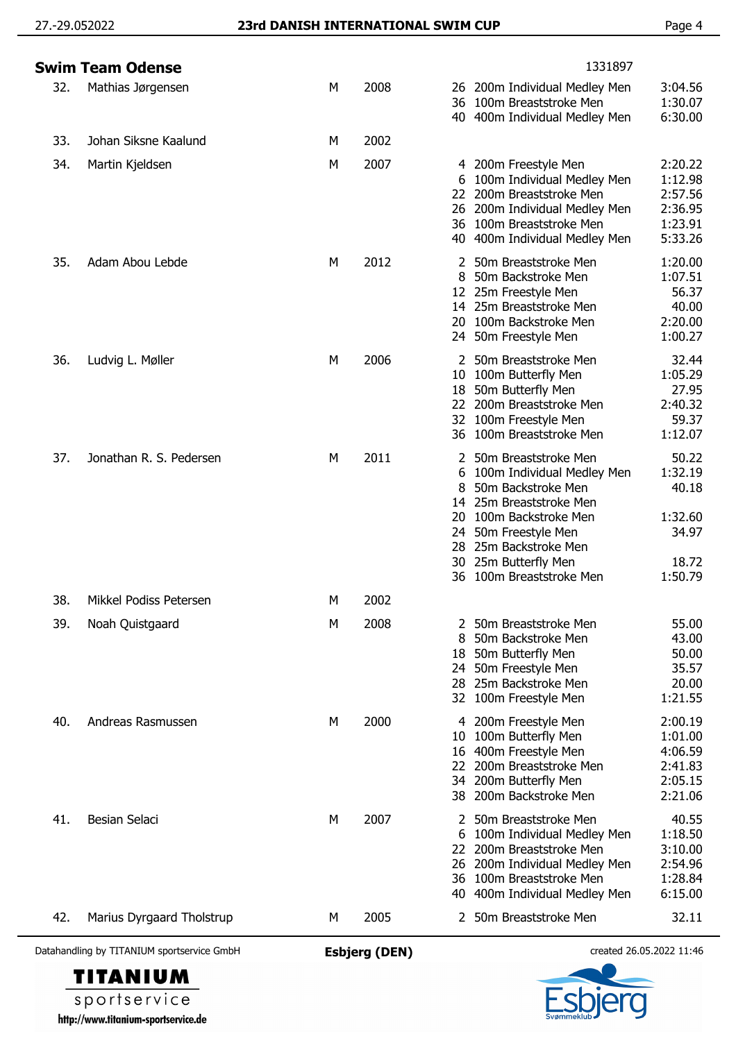## 27.-29.052022 **23rd DANISH INTERNATIONAL SWIM CUP** Page 4

|     | Swim Team Odense          |   |      |                                                  | 1331897                                                                                                                                                                                                          |                                                                   |
|-----|---------------------------|---|------|--------------------------------------------------|------------------------------------------------------------------------------------------------------------------------------------------------------------------------------------------------------------------|-------------------------------------------------------------------|
| 32. | Mathias Jørgensen         | М | 2008 | 36                                               | 26 200m Individual Medley Men<br>100m Breaststroke Men<br>40 400m Individual Medley Men                                                                                                                          | 3:04.56<br>1:30.07<br>6:30.00                                     |
| 33. | Johan Siksne Kaalund      | M | 2002 |                                                  |                                                                                                                                                                                                                  |                                                                   |
| 34. | Martin Kjeldsen           | м | 2007 | 6<br>22.                                         | 4 200m Freestyle Men<br>100m Individual Medley Men<br>200m Breaststroke Men<br>26 200m Individual Medley Men<br>36 100m Breaststroke Men<br>40 400m Individual Medley Men                                        | 2:20.22<br>1:12.98<br>2:57.56<br>2:36.95<br>1:23.91<br>5:33.26    |
| 35. | Adam Abou Lebde           | М | 2012 | 2<br>8<br>20                                     | 50m Breaststroke Men<br>50m Backstroke Men<br>12 25m Freestyle Men<br>14 25m Breaststroke Men<br>100m Backstroke Men<br>24 50m Freestyle Men                                                                     | 1:20.00<br>1:07.51<br>56.37<br>40.00<br>2:20.00<br>1:00.27        |
| 36. | Ludvig L. Møller          | М | 2006 |                                                  | 2 50m Breaststroke Men<br>10 100m Butterfly Men<br>18 50m Butterfly Men<br>22 200m Breaststroke Men<br>32 100m Freestyle Men<br>36 100m Breaststroke Men                                                         | 32.44<br>1:05.29<br>27.95<br>2:40.32<br>59.37<br>1:12.07          |
| 37. | Jonathan R. S. Pedersen   | М | 2011 | 2<br>6<br>8<br>14<br>20<br>24.<br>28<br>30<br>36 | 50m Breaststroke Men<br>100m Individual Medley Men<br>50m Backstroke Men<br>25m Breaststroke Men<br>100m Backstroke Men<br>50m Freestyle Men<br>25m Backstroke Men<br>25m Butterfly Men<br>100m Breaststroke Men | 50.22<br>1:32.19<br>40.18<br>1:32.60<br>34.97<br>18.72<br>1:50.79 |
| 38. | Mikkel Podiss Petersen    | М | 2002 |                                                  |                                                                                                                                                                                                                  |                                                                   |
| 39. | Noah Quistgaard           | м | 2008 | 8<br>18                                          | 2 50m Breaststroke Men<br>50m Backstroke Men<br>50m Butterfly Men<br>24 50m Freestyle Men<br>28 25m Backstroke Men<br>32 100m Freestyle Men                                                                      | 55.00<br>43.00<br>50.00<br>35.57<br>20.00<br>1:21.55              |
| 40. | Andreas Rasmussen         | М | 2000 | 10<br>16<br>22<br>34<br>38                       | 200m Freestyle Men<br>100m Butterfly Men<br>400m Freestyle Men<br>200m Breaststroke Men<br>200m Butterfly Men<br>200m Backstroke Men                                                                             | 2:00.19<br>1:01.00<br>4:06.59<br>2:41.83<br>2:05.15<br>2:21.06    |
| 41. | Besian Selaci             | М | 2007 | 6<br>22<br>26                                    | 50m Breaststroke Men<br>100m Individual Medley Men<br>200m Breaststroke Men<br>200m Individual Medley Men<br>36 100m Breaststroke Men<br>40 400m Individual Medley Men                                           | 40.55<br>1:18.50<br>3:10.00<br>2:54.96<br>1:28.84<br>6:15.00      |
| 42. | Marius Dyrgaard Tholstrup | M | 2005 |                                                  | 2 50m Breaststroke Men                                                                                                                                                                                           | 32.11                                                             |
|     |                           |   |      |                                                  |                                                                                                                                                                                                                  |                                                                   |

Datahandling by TITANIUM sportservice GmbH **Esbjerg (DEN)** created 26.05.2022 11:46

**TITANIUM** sportservice http://www.titanium-sportservice.de